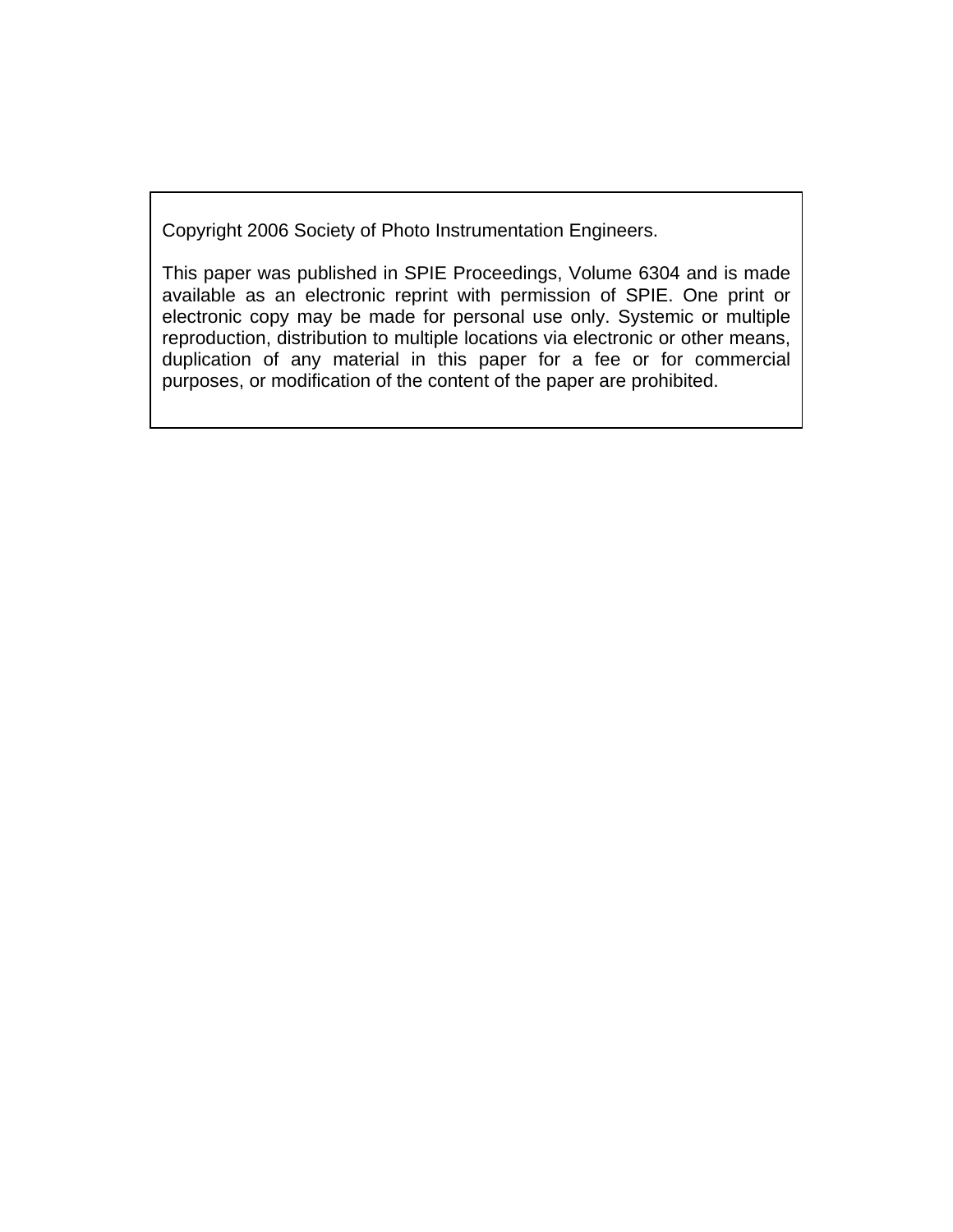Copyright 2006 Society of Photo Instrumentation Engineers.

This paper was published in SPIE Proceedings, Volume 6304 and is made available as an electronic reprint with permission of SPIE. One print or electronic copy may be made for personal use only. Systemic or multiple reproduction, distribution to multiple locations via electronic or other means, duplication of any material in this paper for a fee or for commercial purposes, or modification of the content of the paper are prohibited.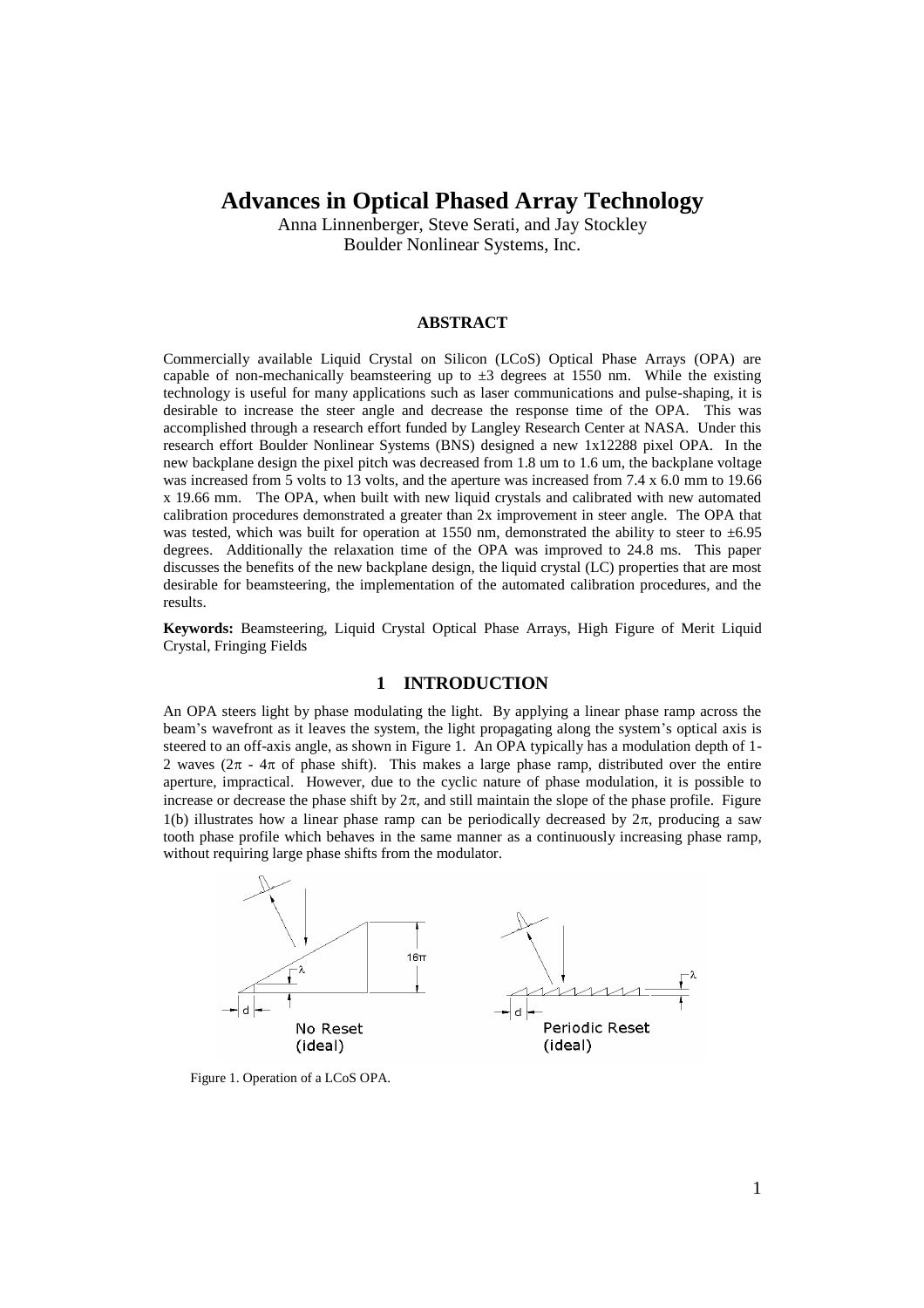# **Advances in Optical Phased Array Technology**

Anna Linnenberger, Steve Serati, and Jay Stockley Boulder Nonlinear Systems, Inc.

#### **ABSTRACT**

Commercially available Liquid Crystal on Silicon (LCoS) Optical Phase Arrays (OPA) are capable of non-mechanically beamsteering up to  $\pm 3$  degrees at 1550 nm. While the existing technology is useful for many applications such as laser communications and pulse-shaping, it is desirable to increase the steer angle and decrease the response time of the OPA. This was accomplished through a research effort funded by Langley Research Center at NASA. Under this research effort Boulder Nonlinear Systems (BNS) designed a new 1x12288 pixel OPA. In the new backplane design the pixel pitch was decreased from 1.8 um to 1.6 um, the backplane voltage was increased from 5 volts to 13 volts, and the aperture was increased from 7.4 x 6.0 mm to 19.66 x 19.66 mm. The OPA, when built with new liquid crystals and calibrated with new automated calibration procedures demonstrated a greater than 2x improvement in steer angle. The OPA that was tested, which was built for operation at 1550 nm, demonstrated the ability to steer to  $\pm 6.95$ degrees. Additionally the relaxation time of the OPA was improved to 24.8 ms. This paper discusses the benefits of the new backplane design, the liquid crystal (LC) properties that are most desirable for beamsteering, the implementation of the automated calibration procedures, and the results.

**Keywords:** Beamsteering, Liquid Crystal Optical Phase Arrays, High Figure of Merit Liquid Crystal, Fringing Fields

# **1 INTRODUCTION**

An OPA steers light by phase modulating the light. By applying a linear phase ramp across the beam's wavefront as it leaves the system, the light propagating along the system's optical axis is steered to an off-axis angle, as shown in Figure 1. An OPA typically has a modulation depth of 1- 2 waves ( $2\pi - 4\pi$  of phase shift). This makes a large phase ramp, distributed over the entire aperture, impractical. However, due to the cyclic nature of phase modulation, it is possible to increase or decrease the phase shift by  $2\pi$ , and still maintain the slope of the phase profile. Figure 1(b) illustrates how a linear phase ramp can be periodically decreased by  $2\pi$ , producing a saw tooth phase profile which behaves in the same manner as a continuously increasing phase ramp, without requiring large phase shifts from the modulator.



Figure 1. Operation of a LCoS OPA.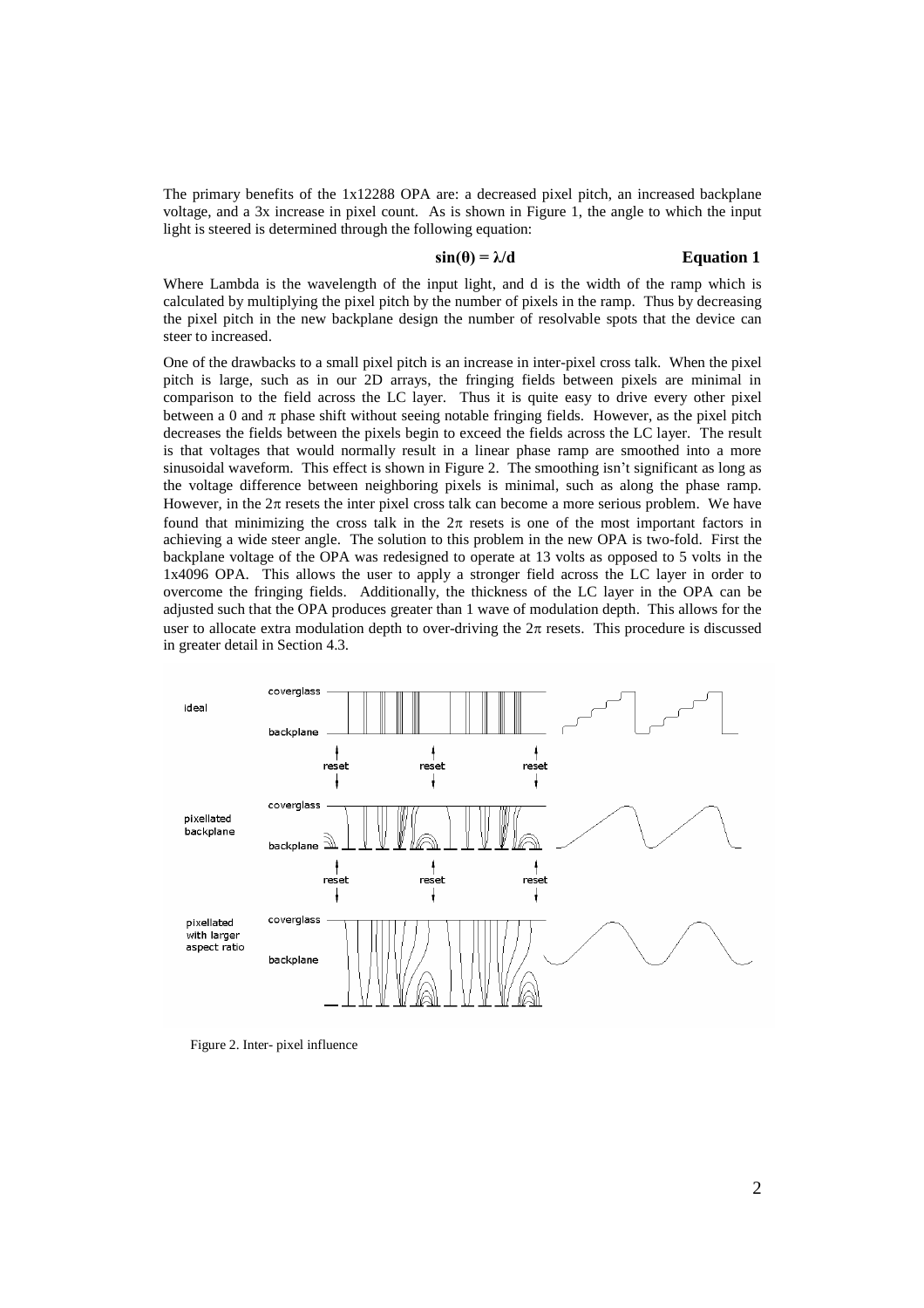The primary benefits of the 1x12288 OPA are: a decreased pixel pitch, an increased backplane voltage, and a 3x increase in pixel count. As is shown in Figure 1, the angle to which the input light is steered is determined through the following equation:

### $\sin(\theta) = \lambda/d$  **Equation 1**

Where Lambda is the wavelength of the input light, and d is the width of the ramp which is calculated by multiplying the pixel pitch by the number of pixels in the ramp. Thus by decreasing the pixel pitch in the new backplane design the number of resolvable spots that the device can steer to increased.

One of the drawbacks to a small pixel pitch is an increase in inter-pixel cross talk. When the pixel pitch is large, such as in our 2D arrays, the fringing fields between pixels are minimal in comparison to the field across the LC layer. Thus it is quite easy to drive every other pixel between a 0 and  $\pi$  phase shift without seeing notable fringing fields. However, as the pixel pitch decreases the fields between the pixels begin to exceed the fields across the LC layer. The result is that voltages that would normally result in a linear phase ramp are smoothed into a more sinusoidal waveform. This effect is shown in Figure 2. The smoothing isn't significant as long as the voltage difference between neighboring pixels is minimal, such as along the phase ramp. However, in the  $2\pi$  resets the inter pixel cross talk can become a more serious problem. We have found that minimizing the cross talk in the  $2\pi$  resets is one of the most important factors in achieving a wide steer angle. The solution to this problem in the new OPA is two-fold. First the backplane voltage of the OPA was redesigned to operate at 13 volts as opposed to 5 volts in the 1x4096 OPA. This allows the user to apply a stronger field across the LC layer in order to overcome the fringing fields. Additionally, the thickness of the LC layer in the OPA can be adjusted such that the OPA produces greater than 1 wave of modulation depth. This allows for the user to allocate extra modulation depth to over-driving the  $2\pi$  resets. This procedure is discussed in greater detail in Section 4.3.



Figure 2. Inter- pixel influence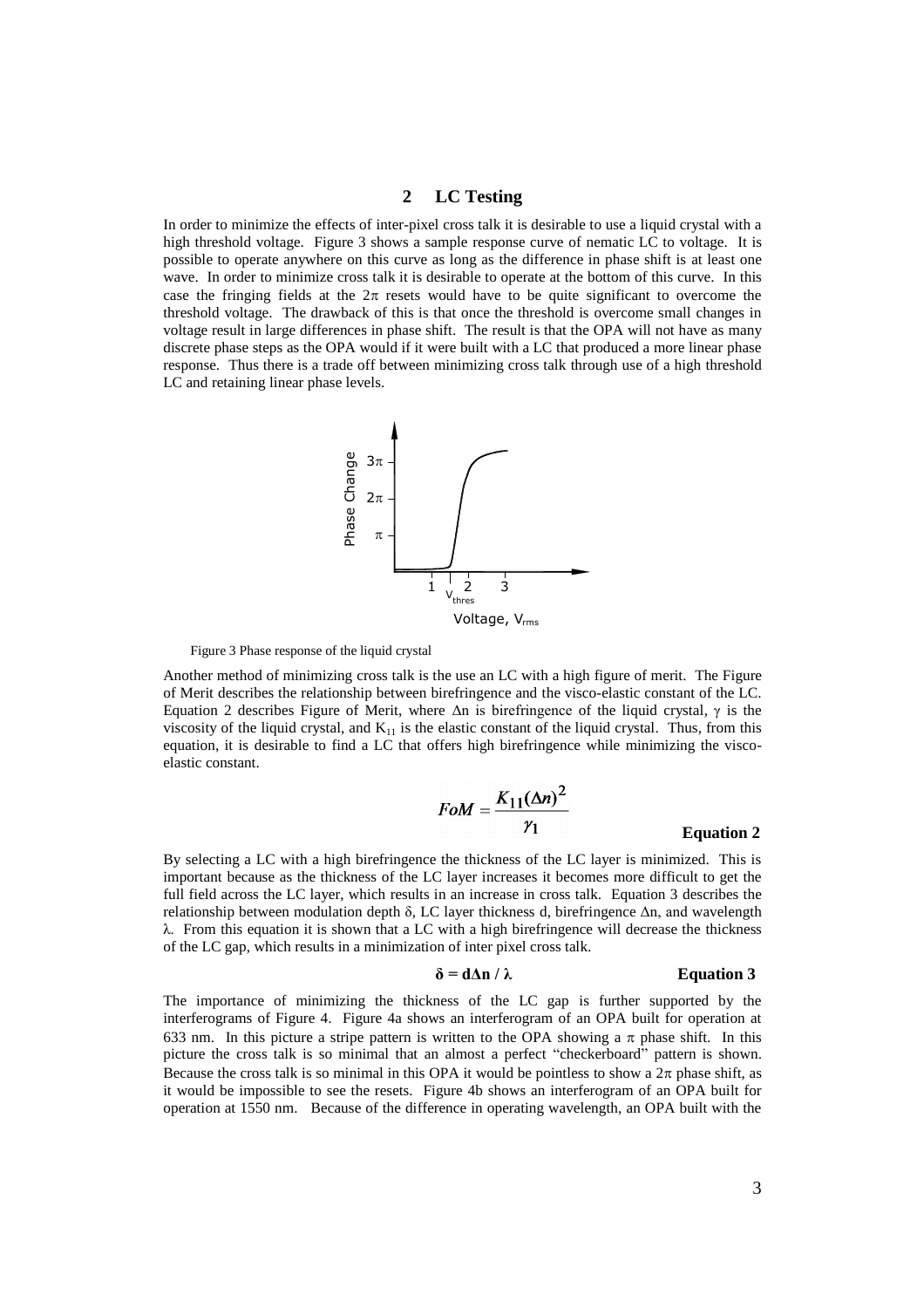# **2 LC Testing**

In order to minimize the effects of inter-pixel cross talk it is desirable to use a liquid crystal with a high threshold voltage. Figure 3 shows a sample response curve of nematic LC to voltage. It is possible to operate anywhere on this curve as long as the difference in phase shift is at least one wave. In order to minimize cross talk it is desirable to operate at the bottom of this curve. In this case the fringing fields at the  $2\pi$  resets would have to be quite significant to overcome the threshold voltage. The drawback of this is that once the threshold is overcome small changes in voltage result in large differences in phase shift. The result is that the OPA will not have as many discrete phase steps as the OPA would if it were built with a LC that produced a more linear phase response. Thus there is a trade off between minimizing cross talk through use of a high threshold LC and retaining linear phase levels.



Figure 3 Phase response of the liquid crystal

Another method of minimizing cross talk is the use an LC with a high figure of merit. The Figure of Merit describes the relationship between birefringence and the visco-elastic constant of the LC. Equation 2 describes Figure of Merit, where  $Δn$  is birefringence of the liquid crystal,  $γ$  is the viscosity of the liquid crystal, and  $K_{11}$  is the elastic constant of the liquid crystal. Thus, from this equation, it is desirable to find a LC that offers high birefringence while minimizing the viscoelastic constant.

$$
FoM = \frac{K_{11}(\Delta n)^2}{\gamma_1}
$$
 Equation 2

By selecting a LC with a high birefringence the thickness of the LC layer is minimized. This is important because as the thickness of the LC layer increases it becomes more difficult to get the full field across the LC layer, which results in an increase in cross talk. Equation 3 describes the relationship between modulation depth δ, LC layer thickness d, birefringence  $Δn$ , and wavelength  $λ$ . From this equation it is shown that a LC with a high birefringence will decrease the thickness of the LC gap, which results in a minimization of inter pixel cross talk.

$$
\delta = d\Delta n / \lambda
$$
 Equation 3

The importance of minimizing the thickness of the LC gap is further supported by the interferograms of Figure 4. Figure 4a shows an interferogram of an OPA built for operation at 633 nm. In this picture a stripe pattern is written to the OPA showing a  $\pi$  phase shift. In this picture the cross talk is so minimal that an almost a perfect "checkerboard" pattern is shown. Because the cross talk is so minimal in this OPA it would be pointless to show a  $2\pi$  phase shift, as it would be impossible to see the resets. Figure 4b shows an interferogram of an OPA built for operation at 1550 nm. Because of the difference in operating wavelength, an OPA built with the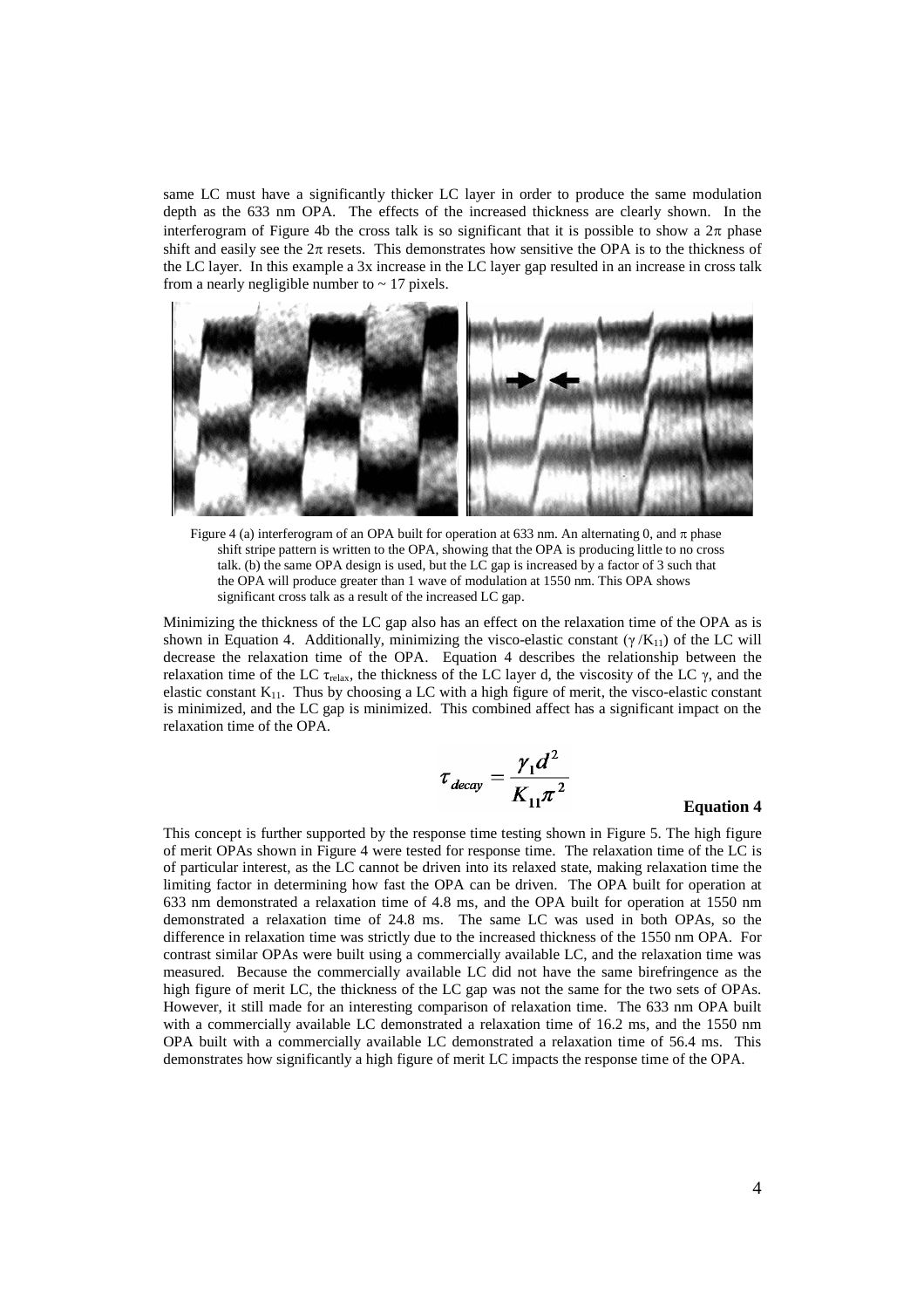same LC must have a significantly thicker LC layer in order to produce the same modulation depth as the 633 nm OPA. The effects of the increased thickness are clearly shown. In the interferogram of Figure 4b the cross talk is so significant that it is possible to show a  $2\pi$  phase shift and easily see the  $2\pi$  resets. This demonstrates how sensitive the OPA is to the thickness of the LC layer. In this example a 3x increase in the LC layer gap resulted in an increase in cross talk from a nearly negligible number to  $\sim$  17 pixels.



Figure 4 (a) interferogram of an OPA built for operation at 633 nm. An alternating 0, and  $\pi$  phase shift stripe pattern is written to the OPA, showing that the OPA is producing little to no cross talk. (b) the same OPA design is used, but the LC gap is increased by a factor of 3 such that the OPA will produce greater than 1 wave of modulation at 1550 nm. This OPA shows significant cross talk as a result of the increased LC gap.

Minimizing the thickness of the LC gap also has an effect on the relaxation time of the OPA as is shown in Equation 4. Additionally, minimizing the visco-elastic constant  $(\gamma/K_{11})$  of the LC will decrease the relaxation time of the OPA. Equation 4 describes the relationship between the relaxation time of the LC τ<sub>relax</sub>, the thickness of the LC layer d, the viscosity of the LC γ, and the elastic constant  $K_{11}$ . Thus by choosing a LC with a high figure of merit, the visco-elastic constant is minimized, and the LC gap is minimized. This combined affect has a significant impact on the relaxation time of the OPA.

$$
\tau_{decay} = \frac{\gamma_1 d^2}{K_{11} \pi^2}
$$

#### **Equation 4**

This concept is further supported by the response time testing shown in Figure 5. The high figure of merit OPAs shown in Figure 4 were tested for response time. The relaxation time of the LC is of particular interest, as the LC cannot be driven into its relaxed state, making relaxation time the limiting factor in determining how fast the OPA can be driven. The OPA built for operation at 633 nm demonstrated a relaxation time of 4.8 ms, and the OPA built for operation at 1550 nm demonstrated a relaxation time of 24.8 ms. The same LC was used in both OPAs, so the difference in relaxation time was strictly due to the increased thickness of the 1550 nm OPA. For contrast similar OPAs were built using a commercially available LC, and the relaxation time was measured. Because the commercially available LC did not have the same birefringence as the high figure of merit LC, the thickness of the LC gap was not the same for the two sets of OPAs. However, it still made for an interesting comparison of relaxation time. The 633 nm OPA built with a commercially available LC demonstrated a relaxation time of 16.2 ms, and the 1550 nm OPA built with a commercially available LC demonstrated a relaxation time of 56.4 ms. This demonstrates how significantly a high figure of merit LC impacts the response time of the OPA.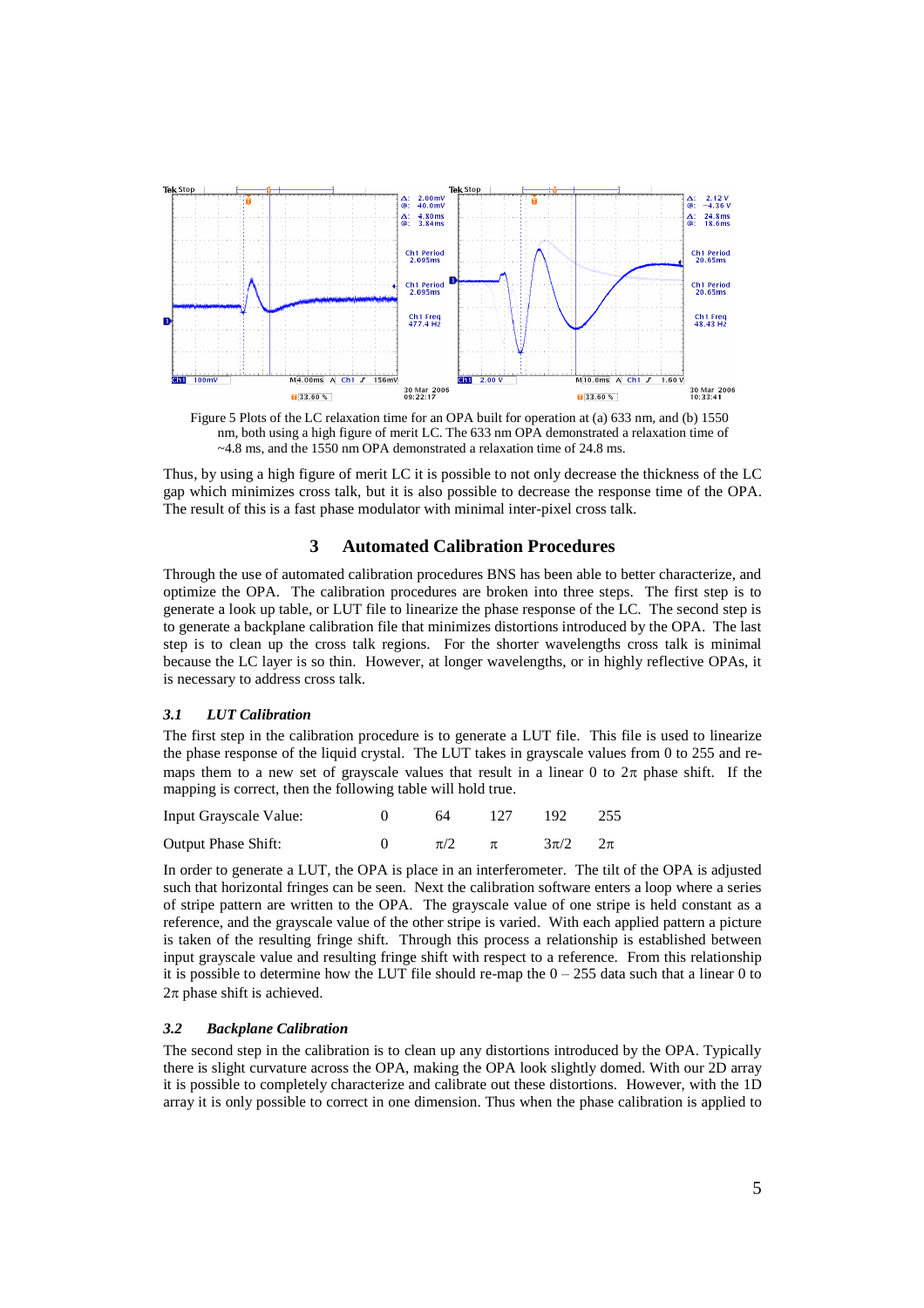

Figure 5 Plots of the LC relaxation time for an OPA built for operation at (a) 633 nm, and (b) 1550 nm, both using a high figure of merit LC. The 633 nm OPA demonstrated a relaxation time of ~4.8 ms, and the 1550 nm OPA demonstrated a relaxation time of 24.8 ms.

Thus, by using a high figure of merit LC it is possible to not only decrease the thickness of the LC gap which minimizes cross talk, but it is also possible to decrease the response time of the OPA. The result of this is a fast phase modulator with minimal inter-pixel cross talk.

# **3 Automated Calibration Procedures**

Through the use of automated calibration procedures BNS has been able to better characterize, and optimize the OPA. The calibration procedures are broken into three steps. The first step is to generate a look up table, or LUT file to linearize the phase response of the LC. The second step is to generate a backplane calibration file that minimizes distortions introduced by the OPA. The last step is to clean up the cross talk regions. For the shorter wavelengths cross talk is minimal because the LC layer is so thin. However, at longer wavelengths, or in highly reflective OPAs, it is necessary to address cross talk.

#### *3.1 LUT Calibration*

The first step in the calibration procedure is to generate a LUT file. This file is used to linearize the phase response of the liquid crystal. The LUT takes in grayscale values from 0 to 255 and remaps them to a new set of grayscale values that result in a linear 0 to  $2\pi$  phase shift. If the mapping is correct, then the following table will hold true.

| Input Grayscale Value:     | 64            | 127 192 255     |  |
|----------------------------|---------------|-----------------|--|
| <b>Output Phase Shift:</b> | $\pi/2$ $\pi$ | $3\pi/2$ $2\pi$ |  |

In order to generate a LUT, the OPA is place in an interferometer. The tilt of the OPA is adjusted such that horizontal fringes can be seen. Next the calibration software enters a loop where a series of stripe pattern are written to the OPA. The grayscale value of one stripe is held constant as a reference, and the grayscale value of the other stripe is varied. With each applied pattern a picture is taken of the resulting fringe shift. Through this process a relationship is established between input grayscale value and resulting fringe shift with respect to a reference. From this relationship it is possible to determine how the LUT file should re-map the  $0 - 255$  data such that a linear 0 to  $2\pi$  phase shift is achieved.

#### *3.2 Backplane Calibration*

The second step in the calibration is to clean up any distortions introduced by the OPA. Typically there is slight curvature across the OPA, making the OPA look slightly domed. With our 2D array it is possible to completely characterize and calibrate out these distortions. However, with the 1D array it is only possible to correct in one dimension. Thus when the phase calibration is applied to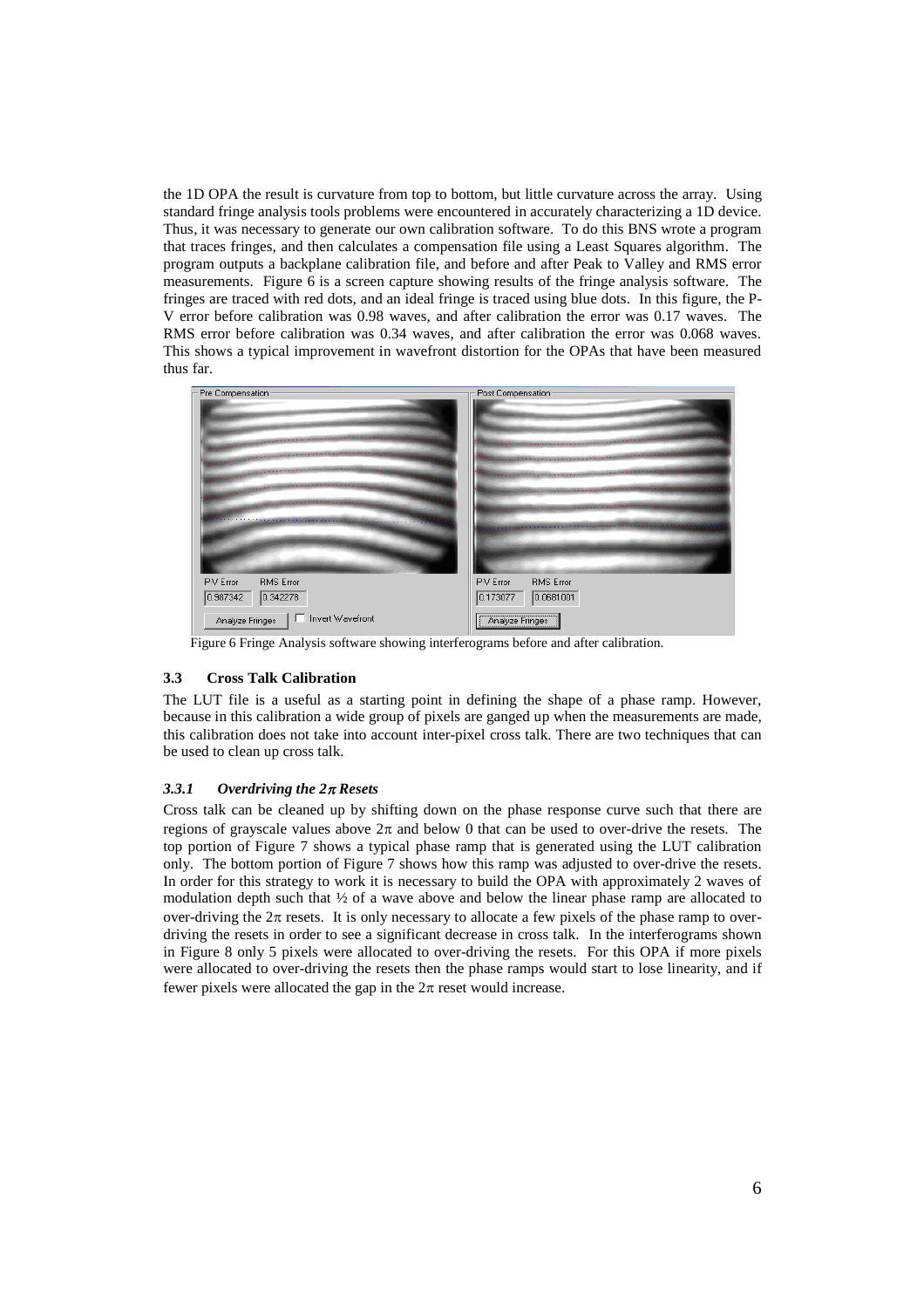the 1D OPA the result is curvature from top to bottom, but little curvature across the array. Using standard fringe analysis tools problems were encountered in accurately characterizing a 1D device. Thus, it was necessary to generate our own calibration software. To do this BNS wrote a program that traces fringes, and then calculates a compensation file using a Least Squares algorithm. The program outputs a backplane calibration file, and before and after Peak to Valley and RMS error measurements. Figure 6 is a screen capture showing results of the fringe analysis software. The fringes are traced with red dots, and an ideal fringe is traced using blue dots. In this figure, the P-V error before calibration was 0.98 waves, and after calibration the error was 0.17 waves. The RMS error before calibration was 0.34 waves, and after calibration the error was 0.068 waves. This shows a typical improvement in wavefront distortion for the OPAs that have been measured thus far.

| Pre Compensation-                                                                                                                                                                                                                                                                                                                                                                                                                              | Post Compensation:                                                                                                                                                                                                             |  |  |  |
|------------------------------------------------------------------------------------------------------------------------------------------------------------------------------------------------------------------------------------------------------------------------------------------------------------------------------------------------------------------------------------------------------------------------------------------------|--------------------------------------------------------------------------------------------------------------------------------------------------------------------------------------------------------------------------------|--|--|--|
|                                                                                                                                                                                                                                                                                                                                                                                                                                                | t die digenoem van die beskrywer van die beskrywer van die beskrywer van die beskrywer van die beskrywer van d                                                                                                                 |  |  |  |
| $\label{eq:2.1} \mathcal{L}_{\mathcal{M}}(x,y) = \mathcal{L}_{\mathcal{M}}(x,y) + \mathcal{L}_{\mathcal{M}}(x,y) + \mathcal{L}_{\mathcal{M}}(x,y) + \mathcal{L}_{\mathcal{M}}(x,y) + \mathcal{L}_{\mathcal{M}}(x,y) + \mathcal{L}_{\mathcal{M}}(x,y) + \mathcal{L}_{\mathcal{M}}(x,y) + \mathcal{L}_{\mathcal{M}}(x,y) + \mathcal{L}_{\mathcal{M}}(x,y) + \mathcal{L}_{\mathcal{M}}(x,y) + \mathcal{L}_{\mathcal{M}}(x,y) + \mathcal{L}_{\$    |                                                                                                                                                                                                                                |  |  |  |
| $\label{eq:2.1} \frac{1}{2\sqrt{2\pi}\left(1+\frac{1}{2}\right)^{2}}\left(\frac{1}{2}\left(1+\frac{1}{2}\right)^{2}+\frac{1}{2}\left(1+\frac{1}{2}\right)^{2}+\frac{1}{2}\left(1+\frac{1}{2}\right)^{2}+\frac{1}{2}\left(1+\frac{1}{2}\right)^{2}}\left(\frac{1}{2}\right)^{2}+\frac{1}{2}\left(1+\frac{1}{2}\right)^{2}+\frac{1}{2}\left(1+\frac{1}{2}\right)^{2}+\frac{1}{2}\left(1+\frac{1}{2}\right)^{2}+\frac{1}{2}\left(1+\frac{$        | والمستوفية والمسترجم والمستحقق والمتعاونة والمستحقق والمستحيل والمستحدث والمتحدث والمتحال والمتحدث والمتحالة والمتحدث                                                                                                          |  |  |  |
| $\label{eq:2.1} \frac{1}{2} \int_{\mathbb{R}^3} \left( \frac{1}{2} \left( \frac{1}{2} \left( \frac{1}{2} \left( \frac{1}{2} \left( \frac{1}{2} \left( \frac{1}{2} \left( \frac{1}{2} \left( \frac{1}{2} \left( \frac{1}{2} \left( \frac{1}{2} \left( \frac{1}{2} \left( \frac{1}{2} \left( \frac{1}{2} \left( \frac{1}{2} \right) \right) \right) \right) \right) \right) \right) \right) + \frac{1}{2} \left( \frac{1}{2} \left( \frac{1}{2}$ |                                                                                                                                                                                                                                |  |  |  |
| $\label{eq:1.1} \mathcal{L}_{\mathcal{A}}(\mathcal{A})=\mathcal{A}^{(1)}\mathcal{A}^{(1)}\mathcal{A}^{(2)}\mathcal{A}^{(3)}\mathcal{A}^{(4)}\mathcal{A}^{(5)}\mathcal{A}^{(6)}\mathcal{A}^{(7)}\mathcal{A}^{(8)}\mathcal{A}^{(8)}\mathcal{A}^{(8)}\mathcal{A}^{(8)}\mathcal{A}^{(8)}\mathcal{A}^{(8)}\mathcal{A}^{(8)}\mathcal{A}^{(8)}\mathcal{A}^{(8)}\mathcal{A}^{(8)}\mathcal{A}^{(8)}\mathcal$                                            | . A share a great the property of the company of the company of the company of the company of the company of the company of the company of the company of the company of the company of the company of the company of the comp |  |  |  |
|                                                                                                                                                                                                                                                                                                                                                                                                                                                | and the second contract of the contract of the contract of the contract of the contract of the contract of the                                                                                                                 |  |  |  |
| P-V Error                                                                                                                                                                                                                                                                                                                                                                                                                                      | <b>RMS</b> Error                                                                                                                                                                                                               |  |  |  |
| <b>RMS</b> Error                                                                                                                                                                                                                                                                                                                                                                                                                               | P-V Error                                                                                                                                                                                                                      |  |  |  |
| 0.342278                                                                                                                                                                                                                                                                                                                                                                                                                                       | 0.0681001                                                                                                                                                                                                                      |  |  |  |
| 0.987342                                                                                                                                                                                                                                                                                                                                                                                                                                       | 0.173077                                                                                                                                                                                                                       |  |  |  |
| □ Invert Wavefront                                                                                                                                                                                                                                                                                                                                                                                                                             |                                                                                                                                                                                                                                |  |  |  |
| Analyze Fringes                                                                                                                                                                                                                                                                                                                                                                                                                                | Analyze Fringes                                                                                                                                                                                                                |  |  |  |

Figure 6 Fringe Analysis software showing interferograms before and after calibration.

# **3.3 Cross Talk Calibration**

The LUT file is a useful as a starting point in defining the shape of a phase ramp. However, because in this calibration a wide group of pixels are ganged up when the measurements are made, this calibration does not take into account inter-pixel cross talk. There are two techniques that can be used to clean up cross talk.

#### *3.3.1 Overdriving the 2Resets*

Cross talk can be cleaned up by shifting down on the phase response curve such that there are regions of grayscale values above  $2\pi$  and below 0 that can be used to over-drive the resets. The top portion of Figure 7 shows a typical phase ramp that is generated using the LUT calibration only. The bottom portion of Figure 7 shows how this ramp was adjusted to over-drive the resets. In order for this strategy to work it is necessary to build the OPA with approximately 2 waves of modulation depth such that  $\frac{1}{2}$  of a wave above and below the linear phase ramp are allocated to over-driving the  $2\pi$  resets. It is only necessary to allocate a few pixels of the phase ramp to overdriving the resets in order to see a significant decrease in cross talk. In the interferograms shown in Figure 8 only 5 pixels were allocated to over-driving the resets. For this OPA if more pixels were allocated to over-driving the resets then the phase ramps would start to lose linearity, and if fewer pixels were allocated the gap in the  $2\pi$  reset would increase.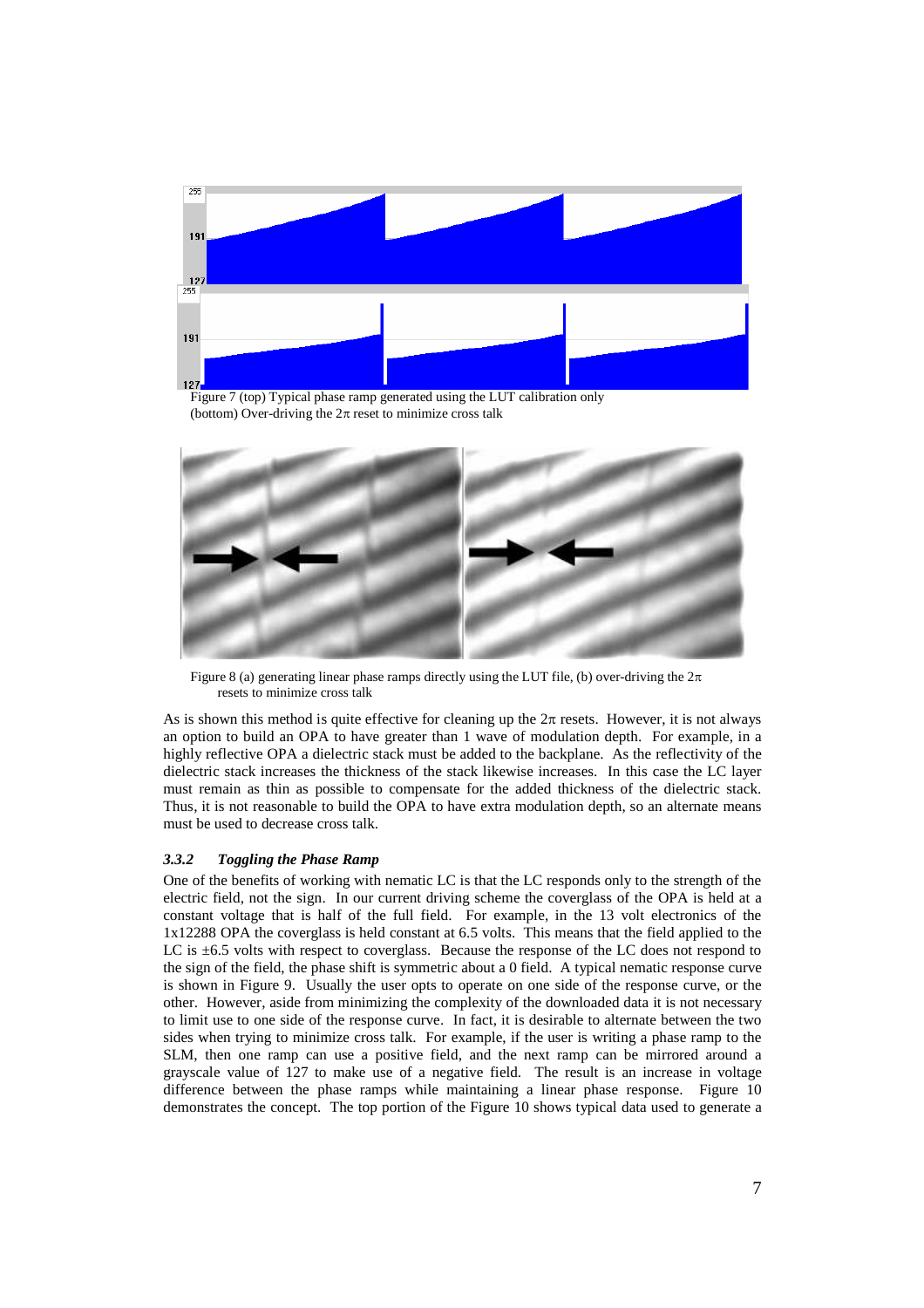

Figure 7 (top) Typical phase ramp generated using the LUT calibration only (bottom) Over-driving the  $2\pi$  reset to minimize cross talk



Figure 8 (a) generating linear phase ramps directly using the LUT file, (b) over-driving the  $2\pi$ resets to minimize cross talk

As is shown this method is quite effective for cleaning up the  $2\pi$  resets. However, it is not always an option to build an OPA to have greater than 1 wave of modulation depth. For example, in a highly reflective OPA a dielectric stack must be added to the backplane. As the reflectivity of the dielectric stack increases the thickness of the stack likewise increases. In this case the LC layer must remain as thin as possible to compensate for the added thickness of the dielectric stack. Thus, it is not reasonable to build the OPA to have extra modulation depth, so an alternate means must be used to decrease cross talk.

# *3.3.2 Toggling the Phase Ramp*

One of the benefits of working with nematic LC is that the LC responds only to the strength of the electric field, not the sign. In our current driving scheme the coverglass of the OPA is held at a constant voltage that is half of the full field. For example, in the 13 volt electronics of the 1x12288 OPA the coverglass is held constant at 6.5 volts. This means that the field applied to the LC is  $\pm 6.5$  volts with respect to coverglass. Because the response of the LC does not respond to the sign of the field, the phase shift is symmetric about a 0 field. A typical nematic response curve is shown in Figure 9. Usually the user opts to operate on one side of the response curve, or the other. However, aside from minimizing the complexity of the downloaded data it is not necessary to limit use to one side of the response curve. In fact, it is desirable to alternate between the two sides when trying to minimize cross talk. For example, if the user is writing a phase ramp to the SLM, then one ramp can use a positive field, and the next ramp can be mirrored around a grayscale value of 127 to make use of a negative field. The result is an increase in voltage difference between the phase ramps while maintaining a linear phase response. Figure 10 demonstrates the concept. The top portion of the Figure 10 shows typical data used to generate a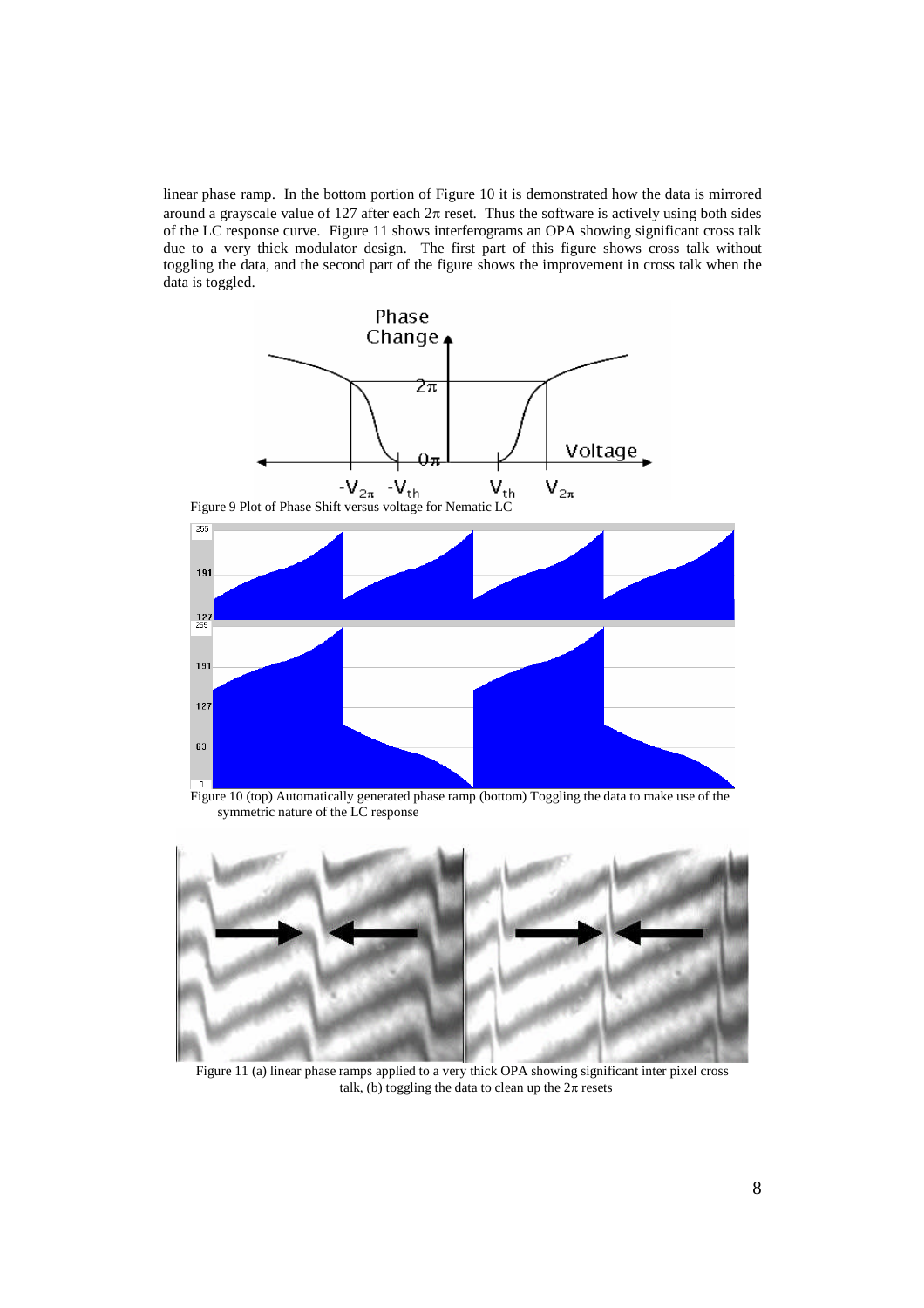linear phase ramp. In the bottom portion of Figure 10 it is demonstrated how the data is mirrored around a grayscale value of 127 after each  $2\pi$  reset. Thus the software is actively using both sides of the LC response curve. Figure 11 shows interferograms an OPA showing significant cross talk due to a very thick modulator design. The first part of this figure shows cross talk without toggling the data, and the second part of the figure shows the improvement in cross talk when the data is toggled.



Figure 10 (top) Automatically generated phase ramp (bottom) Toggling the data to make use of the symmetric nature of the LC response



Figure 11 (a) linear phase ramps applied to a very thick OPA showing significant inter pixel cross talk, (b) toggling the data to clean up the  $2\pi$  resets